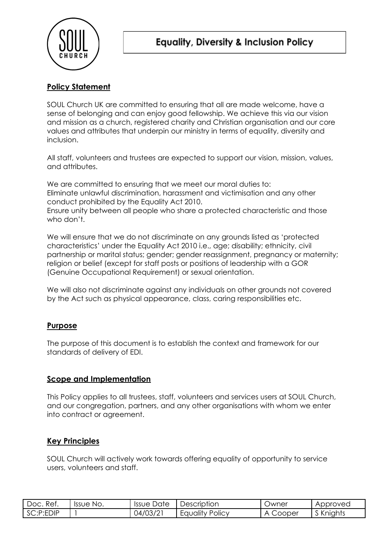

# **Policy Statement**

SOUL Church UK are committed to ensuring that all are made welcome, have a sense of belonging and can enjoy good fellowship. We achieve this via our vision and mission as a church, registered charity and Christian organisation and our core values and attributes that underpin our ministry in terms of equality, diversity and inclusion.

All staff, volunteers and trustees are expected to support our vision, mission, values, and attributes.

We are committed to ensuring that we meet our moral duties to: Eliminate unlawful discrimination, harassment and victimisation and any other conduct prohibited by the Equality Act 2010. Ensure unity between all people who share a protected characteristic and those who don't.

We will ensure that we do not discriminate on any grounds listed as 'protected characteristics' under the Equality Act 2010 i.e., age; disability; ethnicity, civil partnership or marital status; gender; gender reassignment, pregnancy or maternity; religion or belief (except for staff posts or positions of leadership with a GOR (Genuine Occupational Requirement) or sexual orientation.

We will also not discriminate against any individuals on other grounds not covered by the Act such as physical appearance, class, caring responsibilities etc.

## **Purpose**

The purpose of this document is to establish the context and framework for our standards of delivery of EDI.

### **Scope and Implementation**

This Policy applies to all trustees, staff, volunteers and services users at SOUL Church, and our congregation, partners, and any other organisations with whom we enter into contract or agreement.

### **Key Principles**

SOUL Church will actively work towards offering equality of opportunity to service users, volunteers and staff.

| Ret.<br>Doc. | No.<br><b>Issue</b> | Date<br><b>Issue</b>  | $\overline{\phantom{0}}$<br>Description | Owner                  | Approved  |
|--------------|---------------------|-----------------------|-----------------------------------------|------------------------|-----------|
| SC:P:EDIP    |                     | $\sqrt{2}$<br>04/03/2 | $\cdots$<br>Policy<br>Equality          | Cooper<br>$\mathbf{A}$ | S Knights |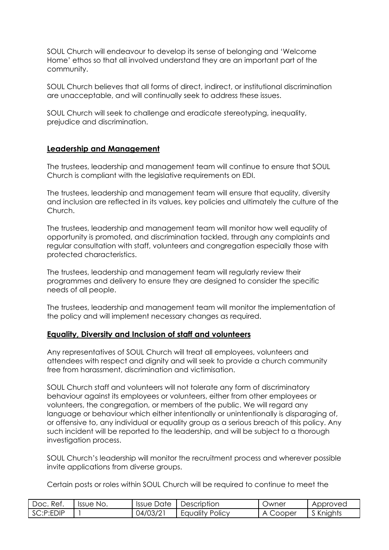SOUL Church will endeavour to develop its sense of belonging and 'Welcome Home' ethos so that all involved understand they are an important part of the community.

SOUL Church believes that all forms of direct, indirect, or institutional discrimination are unacceptable, and will continually seek to address these issues.

SOUL Church will seek to challenge and eradicate stereotyping, inequality, prejudice and discrimination.

## **Leadership and Management**

The trustees, leadership and management team will continue to ensure that SOUL Church is compliant with the legislative requirements on EDI.

The trustees, leadership and management team will ensure that equality, diversity and inclusion are reflected in its values, key policies and ultimately the culture of the Church.

The trustees, leadership and management team will monitor how well equality of opportunity is promoted, and discrimination tackled, through any complaints and regular consultation with staff, volunteers and congregation especially those with protected characteristics.

The trustees, leadership and management team will regularly review their programmes and delivery to ensure they are designed to consider the specific needs of all people.

The trustees, leadership and management team will monitor the implementation of the policy and will implement necessary changes as required.

### **Equality, Diversity and Inclusion of staff and volunteers**

Any representatives of SOUL Church will treat all employees, volunteers and attendees with respect and dignity and will seek to provide a church community free from harassment, discrimination and victimisation.

SOUL Church staff and volunteers will not tolerate any form of discriminatory behaviour against its employees or volunteers, either from other employees or volunteers, the congregation, or members of the public. We will regard any language or behaviour which either intentionally or unintentionally is disparaging of, or offensive to, any individual or equality group as a serious breach of this policy. Any such incident will be reported to the leadership, and will be subject to a thorough investigation process.

SOUL Church's leadership will monitor the recruitment process and wherever possible invite applications from diverse groups.

Certain posts or roles within SOUL Church will be required to continue to meet the

| Ref.<br>Doc.  | Issue No. | Issue Date | Description            | Owner       | Approved  |
|---------------|-----------|------------|------------------------|-------------|-----------|
| $ $ SC:P:EDIP |           | 04/03/21   | <b>Equality Policy</b> | Cooper<br>А | S Knights |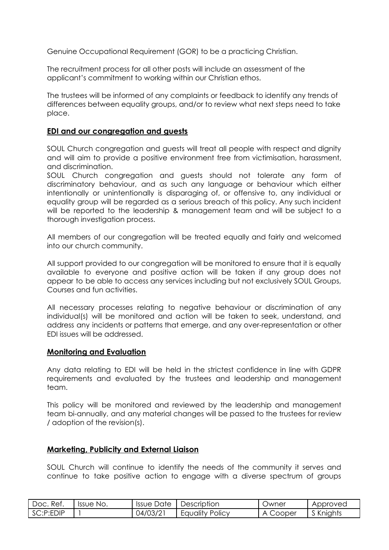Genuine Occupational Requirement (GOR) to be a practicing Christian.

The recruitment process for all other posts will include an assessment of the applicant's commitment to working within our Christian ethos.

The trustees will be informed of any complaints or feedback to identify any trends of differences between equality groups, and/or to review what next steps need to take place.

### **EDI and our congregation and guests**

SOUL Church congregation and guests will treat all people with respect and dignity and will aim to provide a positive environment free from victimisation, harassment, and discrimination.

SOUL Church congregation and guests should not tolerate any form of discriminatory behaviour, and as such any language or behaviour which either intentionally or unintentionally is disparaging of, or offensive to, any individual or equality group will be regarded as a serious breach of this policy. Any such incident will be reported to the leadership & management team and will be subject to a thorough investigation process.

All members of our congregation will be treated equally and fairly and welcomed into our church community.

All support provided to our congregation will be monitored to ensure that it is equally available to everyone and positive action will be taken if any group does not appear to be able to access any services including but not exclusively SOUL Groups, Courses and fun activities.

All necessary processes relating to negative behaviour or discrimination of any individual(s) will be monitored and action will be taken to seek, understand, and address any incidents or patterns that emerge, and any over-representation or other EDI issues will be addressed.

#### **Monitoring and Evaluation**

Any data relating to EDI will be held in the strictest confidence in line with GDPR requirements and evaluated by the trustees and leadership and management team.

This policy will be monitored and reviewed by the leadership and management team bi-annually, and any material changes will be passed to the trustees for review / adoption of the revision(s).

#### **Marketing, Publicity and External Liaison**

SOUL Church will continue to identify the needs of the community it serves and continue to take positive action to engage with a diverse spectrum of groups

| Doc. Ref. | Issue No. | Issue Date | Description     | Owner       | Approved  |
|-----------|-----------|------------|-----------------|-------------|-----------|
| SC:P:EDIP |           | 04/03/21   | Equality Policy | Cooper<br>Δ | S Knights |